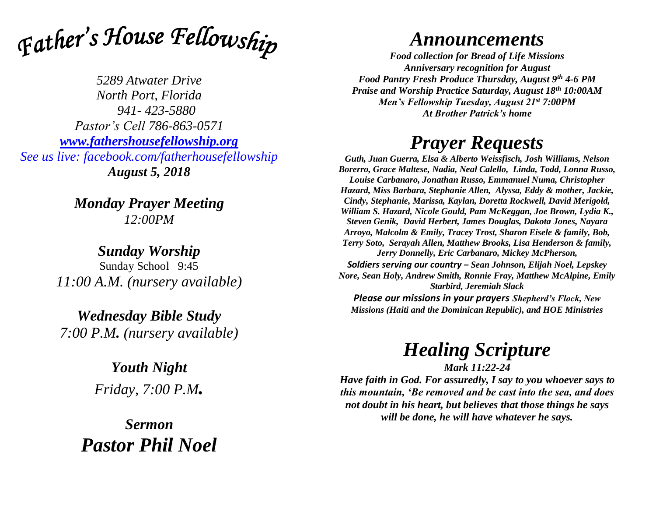

*5289 Atwater Drive North Port, Florida 941- 423-5880 Pastor's Cell 786-863-0571 [www.fathershousefellowship.org](http://www.fathershousefellowship.org/) See us live: facebook.com/fatherhousefellowship August 5, 2018*

> *Monday Prayer Meeting 12:00PM*

*Sunday Worship* Sunday School 9:45 *11:00 A.M. (nursery available)*

*Wednesday Bible Study 7:00 P.M. (nursery available)*

> *Youth Night Friday, 7:00 P.M.*

*Sermon Pastor Phil Noel*

## *Announcements*

*Food collection for Bread of Life Missions Anniversary recognition for August Food Pantry Fresh Produce Thursday, August 9th 4-6 PM Praise and Worship Practice Saturday, August 18th 10:00AM Men's Fellowship Tuesday, August 21st 7:00PM At Brother Patrick's home*

## *Prayer Requests*

*Guth, Juan Guerra, Elsa & Alberto Weissfisch, Josh Williams, Nelson Borerro, Grace Maltese, Nadia, Neal Calello, Linda, Todd, Lonna Russo, Louise Carbanaro, Jonathan Russo, Emmanuel Numa, Christopher Hazard, Miss Barbara, Stephanie Allen, Alyssa, Eddy & mother, Jackie, Cindy, Stephanie, Marissa, Kaylan, Doretta Rockwell, David Merigold, William S. Hazard, Nicole Gould, Pam McKeggan, Joe Brown, Lydia K., Steven Genik, David Herbert, James Douglas, Dakota Jones, Nayara Arroyo, Malcolm & Emily, Tracey Trost, Sharon Eisele & family, Bob, Terry Soto, Serayah Allen, Matthew Brooks, Lisa Henderson & family, Jerry Donnelly, Eric Carbanaro, Mickey McPherson, Soldiers serving our country – Sean Johnson, Elijah Noel, Lepskey Nore, Sean Holy, Andrew Smith, Ronnie Fray, Matthew McAlpine, Emily Starbird, Jeremiah Slack*

*Please our missions in your prayers Shepherd's Flock, New Missions (Haiti and the Dominican Republic), and HOE Ministries*

## *Healing Scripture*

*Mark 11:22-24 Have faith in God. For assuredly, I say to you whoever says to this mountain, 'Be removed and be cast into the sea, and does not doubt in his heart, but believes that those things he says will be done, he will have whatever he says.*